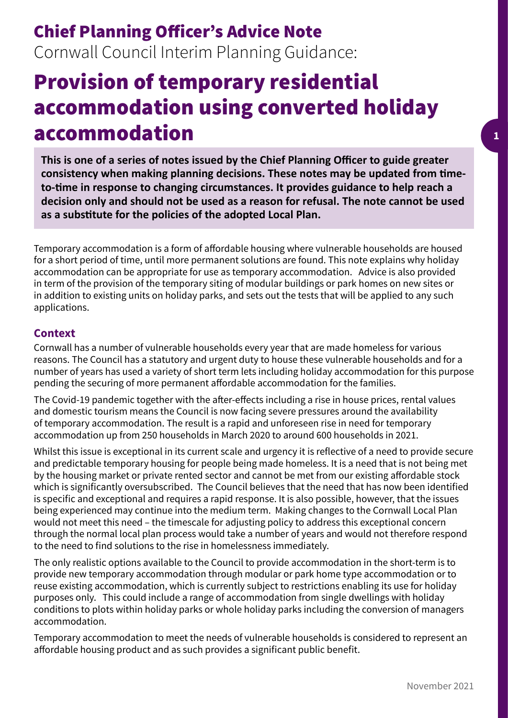## Chief Planning Officer's Advice Note Cornwall Council Interim Planning Guidance:

# Provision of temporary residential accommodation using converted holiday accommodation

**This is one of a series of notes issued by the Chief Planning Officer to guide greater consistency when making planning decisions. These notes may be updated from timeto-time in response to changing circumstances. It provides guidance to help reach a decision only and should not be used as a reason for refusal. The note cannot be used as a substitute for the policies of the adopted Local Plan.**

Temporary accommodation is a form of affordable housing where vulnerable households are housed for a short period of time, until more permanent solutions are found. This note explains why holiday accommodation can be appropriate for use as temporary accommodation. Advice is also provided in term of the provision of the temporary siting of modular buildings or park homes on new sites or in addition to existing units on holiday parks, and sets out the tests that will be applied to any such applications.

#### **Context**

Cornwall has a number of vulnerable households every year that are made homeless for various reasons. The Council has a statutory and urgent duty to house these vulnerable households and for a number of years has used a variety of short term lets including holiday accommodation for this purpose pending the securing of more permanent affordable accommodation for the families.

The Covid-19 pandemic together with the after-effects including a rise in house prices, rental values and domestic tourism means the Council is now facing severe pressures around the availability of temporary accommodation. The result is a rapid and unforeseen rise in need for temporary accommodation up from 250 households in March 2020 to around 600 households in 2021.

Whilst this issue is exceptional in its current scale and urgency it is reflective of a need to provide secure and predictable temporary housing for people being made homeless. It is a need that is not being met by the housing market or private rented sector and cannot be met from our existing affordable stock which is significantly oversubscribed. The Council believes that the need that has now been identified is specific and exceptional and requires a rapid response. It is also possible, however, that the issues being experienced may continue into the medium term. Making changes to the Cornwall Local Plan would not meet this need – the timescale for adjusting policy to address this exceptional concern through the normal local plan process would take a number of years and would not therefore respond to the need to find solutions to the rise in homelessness immediately.

The only realistic options available to the Council to provide accommodation in the short-term is to provide new temporary accommodation through modular or park home type accommodation or to reuse existing accommodation, which is currently subject to restrictions enabling its use for holiday purposes only. This could include a range of accommodation from single dwellings with holiday conditions to plots within holiday parks or whole holiday parks including the conversion of managers accommodation.

Temporary accommodation to meet the needs of vulnerable households is considered to represent an affordable housing product and as such provides a significant public benefit.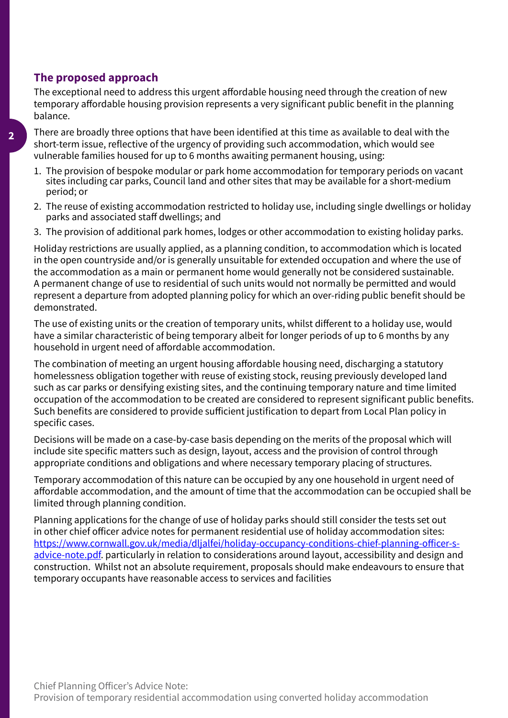### **The proposed approach**

The exceptional need to address this urgent affordable housing need through the creation of new temporary affordable housing provision represents a very significant public benefit in the planning balance.

There are broadly three options that have been identified at this time as available to deal with the short-term issue, reflective of the urgency of providing such accommodation, which would see vulnerable families housed for up to 6 months awaiting permanent housing, using:

- 1. The provision of bespoke modular or park home accommodation for temporary periods on vacant sites including car parks, Council land and other sites that may be available for a short-medium period; or
- 2. The reuse of existing accommodation restricted to holiday use, including single dwellings or holiday parks and associated staff dwellings; and
- 3. The provision of additional park homes, lodges or other accommodation to existing holiday parks.

Holiday restrictions are usually applied, as a planning condition, to accommodation which is located in the open countryside and/or is generally unsuitable for extended occupation and where the use of the accommodation as a main or permanent home would generally not be considered sustainable. A permanent change of use to residential of such units would not normally be permitted and would represent a departure from adopted planning policy for which an over-riding public benefit should be demonstrated.

The use of existing units or the creation of temporary units, whilst different to a holiday use, would have a similar characteristic of being temporary albeit for longer periods of up to 6 months by any household in urgent need of affordable accommodation.

The combination of meeting an urgent housing affordable housing need, discharging a statutory homelessness obligation together with reuse of existing stock, reusing previously developed land such as car parks or densifying existing sites, and the continuing temporary nature and time limited occupation of the accommodation to be created are considered to represent significant public benefits. Such benefits are considered to provide sufficient justification to depart from Local Plan policy in specific cases.

Decisions will be made on a case-by-case basis depending on the merits of the proposal which will include site specific matters such as design, layout, access and the provision of control through appropriate conditions and obligations and where necessary temporary placing of structures.

Temporary accommodation of this nature can be occupied by any one household in urgent need of affordable accommodation, and the amount of time that the accommodation can be occupied shall be limited through planning condition.

Planning applications for the change of use of holiday parks should still consider the tests set out in other chief officer advice notes for permanent residential use of holiday accommodation sites: [https://www.cornwall.gov.uk/media/dljalfei/holiday-occupancy-conditions-chief-planning-officer-s](https://www.cornwall.gov.uk/media/dljalfei/holiday-occupancy-conditions-chief-planning-officer-s-advice-note.pdf)[advice-note.pdf](https://www.cornwall.gov.uk/media/dljalfei/holiday-occupancy-conditions-chief-planning-officer-s-advice-note.pdf). particularly in relation to considerations around layout, accessibility and design and construction. Whilst not an absolute requirement, proposals should make endeavours to ensure that temporary occupants have reasonable access to services and facilities